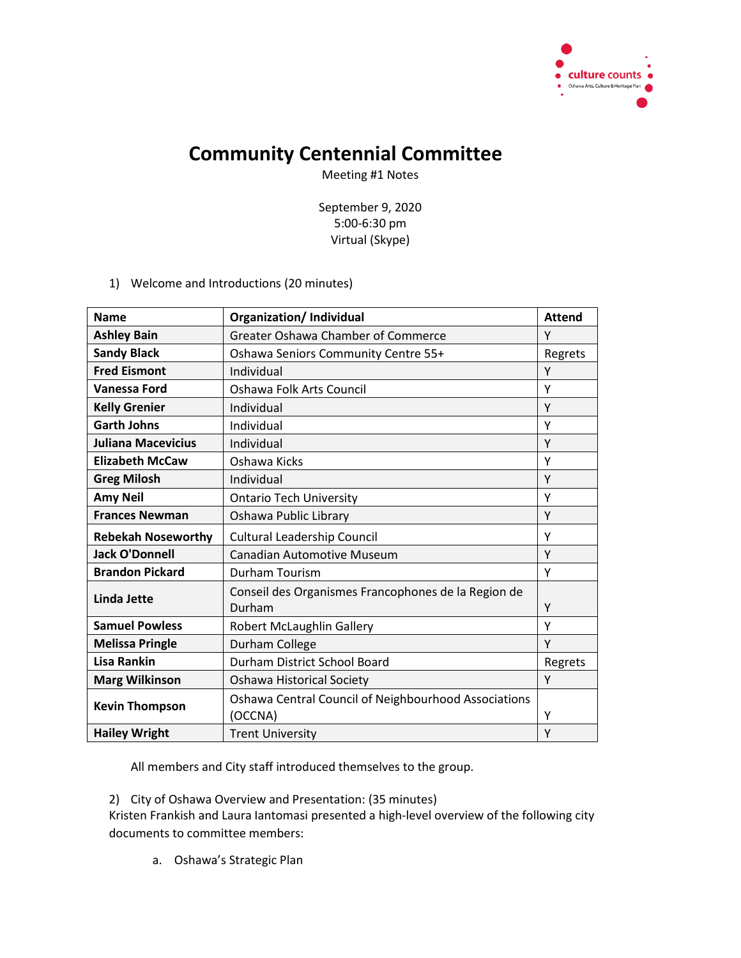

## **Community Centennial Committee**

Meeting #1 Notes

September 9, 2020 5:00-6:30 pm Virtual (Skype)

1) Welcome and Introductions (20 minutes)

| <b>Name</b>               | <b>Organization/Individual</b>                                  | <b>Attend</b> |
|---------------------------|-----------------------------------------------------------------|---------------|
| <b>Ashley Bain</b>        | <b>Greater Oshawa Chamber of Commerce</b>                       | Υ             |
| <b>Sandy Black</b>        | Oshawa Seniors Community Centre 55+                             | Regrets       |
| <b>Fred Eismont</b>       | Individual                                                      | Υ             |
| <b>Vanessa Ford</b>       | Oshawa Folk Arts Council                                        | Υ             |
| <b>Kelly Grenier</b>      | Individual                                                      | Y             |
| <b>Garth Johns</b>        | Individual                                                      | Υ             |
| <b>Juliana Macevicius</b> | Individual                                                      | Y             |
| <b>Elizabeth McCaw</b>    | Oshawa Kicks                                                    | Υ             |
| <b>Greg Milosh</b>        | Individual                                                      | Y             |
| <b>Amy Neil</b>           | <b>Ontario Tech University</b>                                  | Υ             |
| <b>Frances Newman</b>     | Oshawa Public Library                                           | Y             |
| <b>Rebekah Noseworthy</b> | Cultural Leadership Council                                     | Υ             |
| <b>Jack O'Donnell</b>     | <b>Canadian Automotive Museum</b>                               | Y             |
| <b>Brandon Pickard</b>    | Durham Tourism                                                  | Υ             |
| <b>Linda Jette</b>        | Conseil des Organismes Francophones de la Region de<br>Durham   | Υ             |
| <b>Samuel Powless</b>     | Robert McLaughlin Gallery                                       | Y             |
| <b>Melissa Pringle</b>    | Durham College                                                  | Y             |
| <b>Lisa Rankin</b>        | Durham District School Board                                    | Regrets       |
| <b>Marg Wilkinson</b>     | Oshawa Historical Society                                       | Y             |
| <b>Kevin Thompson</b>     | Oshawa Central Council of Neighbourhood Associations<br>(OCCNA) | Υ             |
| <b>Hailey Wright</b>      | <b>Trent University</b>                                         | Y             |

All members and City staff introduced themselves to the group.

2) City of Oshawa Overview and Presentation: (35 minutes)

Kristen Frankish and Laura Iantomasi presented a high-level overview of the following city documents to committee members:

a. Oshawa's Strategic Plan